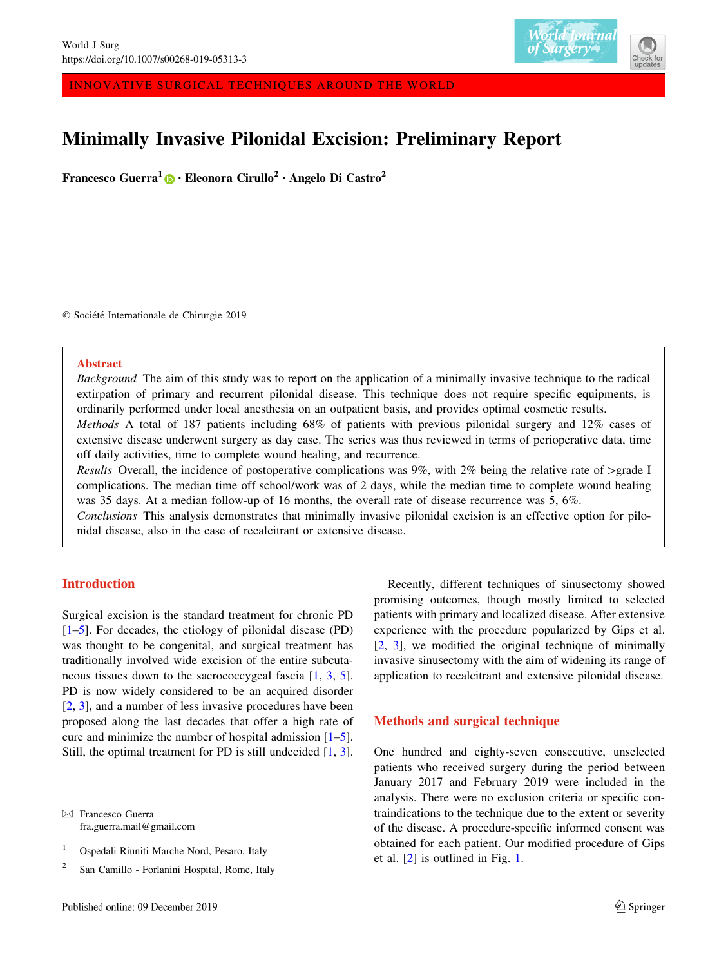

INNOVATIVE SURGICAL TECHNIQUES AROUND THE WORLD

# Minimally Invasive Pilonidal Excision: Preliminary Report

Francesco Guerra<sup>[1](http://orcid.org/0000-0003-2891-4659)</sup>  $\mathbf{D} \cdot$  Eleonora Cirullo<sup>2</sup> • Angelo Di Castro<sup>2</sup>

 $© Société Internationale de Chirurgie 2019$ 

#### Abstract

Background The aim of this study was to report on the application of a minimally invasive technique to the radical extirpation of primary and recurrent pilonidal disease. This technique does not require specific equipments, is ordinarily performed under local anesthesia on an outpatient basis, and provides optimal cosmetic results.

Methods A total of 187 patients including 68% of patients with previous pilonidal surgery and 12% cases of extensive disease underwent surgery as day case. The series was thus reviewed in terms of perioperative data, time off daily activities, time to complete wound healing, and recurrence.

Results Overall, the incidence of postoperative complications was  $9\%$ , with  $2\%$  being the relative rate of  $>$ grade I complications. The median time off school/work was of 2 days, while the median time to complete wound healing was 35 days. At a median follow-up of 16 months, the overall rate of disease recurrence was 5, 6%.

Conclusions This analysis demonstrates that minimally invasive pilonidal excision is an effective option for pilonidal disease, also in the case of recalcitrant or extensive disease.

# **Introduction**

Surgical excision is the standard treatment for chronic PD [\[1–5](#page-4-0)]. For decades, the etiology of pilonidal disease (PD) was thought to be congenital, and surgical treatment has traditionally involved wide excision of the entire subcuta-neous tissues down to the sacrococcygeal fascia [\[1](#page-4-0), [3](#page-4-0), [5](#page-4-0)]. PD is now widely considered to be an acquired disorder [\[2](#page-4-0), [3\]](#page-4-0), and a number of less invasive procedures have been proposed along the last decades that offer a high rate of cure and minimize the number of hospital admission  $[1-5]$ . Still, the optimal treatment for PD is still undecided [[1,](#page-4-0) [3](#page-4-0)].

Recently, different techniques of sinusectomy showed promising outcomes, though mostly limited to selected patients with primary and localized disease. After extensive experience with the procedure popularized by Gips et al. [\[2](#page-4-0), [3\]](#page-4-0), we modified the original technique of minimally invasive sinusectomy with the aim of widening its range of application to recalcitrant and extensive pilonidal disease.

### Methods and surgical technique

One hundred and eighty-seven consecutive, unselected patients who received surgery during the period between January 2017 and February 2019 were included in the analysis. There were no exclusion criteria or specific contraindications to the technique due to the extent or severity of the disease. A procedure-specific informed consent was obtained for each patient. Our modified procedure of Gips et al. [\[2](#page-4-0)] is outlined in Fig. [1](#page-1-0).

<sup>&</sup>amp; Francesco Guerra fra.guerra.mail@gmail.com

<sup>&</sup>lt;sup>1</sup> Ospedali Riuniti Marche Nord, Pesaro, Italy

<sup>2</sup> San Camillo - Forlanini Hospital, Rome, Italy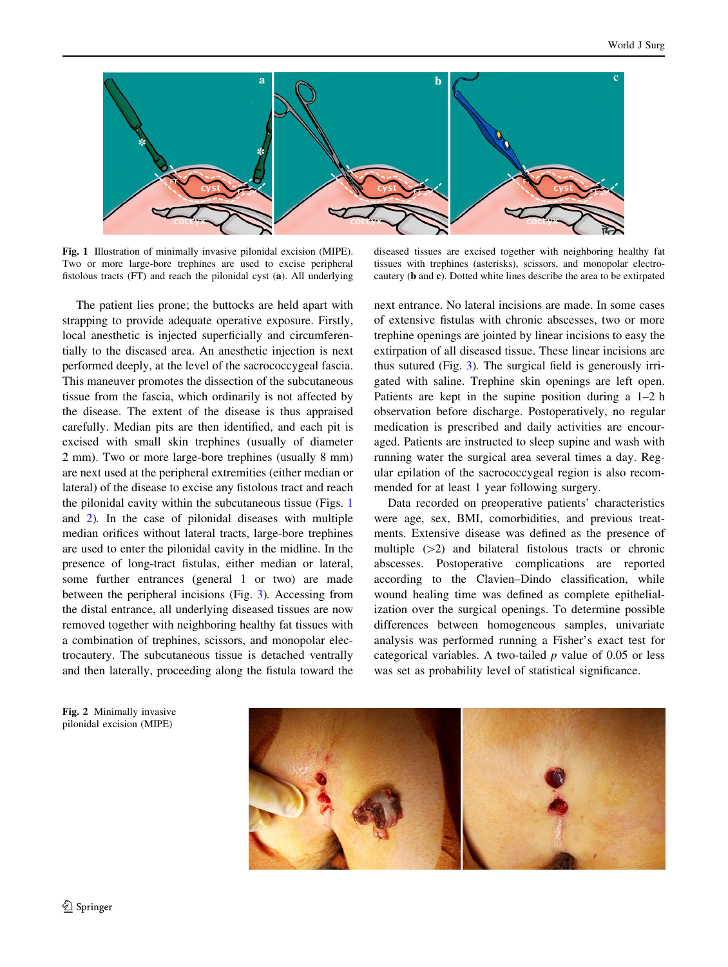<span id="page-1-0"></span>

Fig. 1 Illustration of minimally invasive pilonidal excision (MIPE). Two or more large-bore trephines are used to excise peripheral fistolous tracts (FT) and reach the pilonidal cyst (a). All underlying

diseased tissues are excised together with neighboring healthy fat tissues with trephines (asterisks), scissors, and monopolar electrocautery (b and c). Dotted white lines describe the area to be extirpated

The patient lies prone; the buttocks are held apart with strapping to provide adequate operative exposure. Firstly, local anesthetic is injected superficially and circumferentially to the diseased area. An anesthetic injection is next performed deeply, at the level of the sacrococcygeal fascia. This maneuver promotes the dissection of the subcutaneous tissue from the fascia, which ordinarily is not affected by the disease. The extent of the disease is thus appraised carefully. Median pits are then identified, and each pit is excised with small skin trephines (usually of diameter 2 mm). Two or more large-bore trephines (usually 8 mm) are next used at the peripheral extremities (either median or lateral) of the disease to excise any fistolous tract and reach the pilonidal cavity within the subcutaneous tissue (Figs. 1 and 2). In the case of pilonidal diseases with multiple median orifices without lateral tracts, large-bore trephines are used to enter the pilonidal cavity in the midline. In the presence of long-tract fistulas, either median or lateral, some further entrances (general 1 or two) are made between the peripheral incisions (Fig. [3](#page-2-0)). Accessing from the distal entrance, all underlying diseased tissues are now removed together with neighboring healthy fat tissues with a combination of trephines, scissors, and monopolar electrocautery. The subcutaneous tissue is detached ventrally and then laterally, proceeding along the fistula toward the next entrance. No lateral incisions are made. In some cases of extensive fistulas with chronic abscesses, two or more trephine openings are jointed by linear incisions to easy the extirpation of all diseased tissue. These linear incisions are thus sutured (Fig. [3\)](#page-2-0). The surgical field is generously irrigated with saline. Trephine skin openings are left open. Patients are kept in the supine position during a 1–2 h observation before discharge. Postoperatively, no regular medication is prescribed and daily activities are encouraged. Patients are instructed to sleep supine and wash with running water the surgical area several times a day. Regular epilation of the sacrococcygeal region is also recommended for at least 1 year following surgery.

Data recorded on preoperative patients' characteristics were age, sex, BMI, comorbidities, and previous treatments. Extensive disease was defined as the presence of multiple  $(>=2)$  and bilateral fistolous tracts or chronic abscesses. Postoperative complications are reported according to the Clavien–Dindo classification, while wound healing time was defined as complete epithelialization over the surgical openings. To determine possible differences between homogeneous samples, univariate analysis was performed running a Fisher's exact test for categorical variables. A two-tailed  $p$  value of 0.05 or less was set as probability level of statistical significance.

Fig. 2 Minimally invasive pilonidal excision (MIPE)

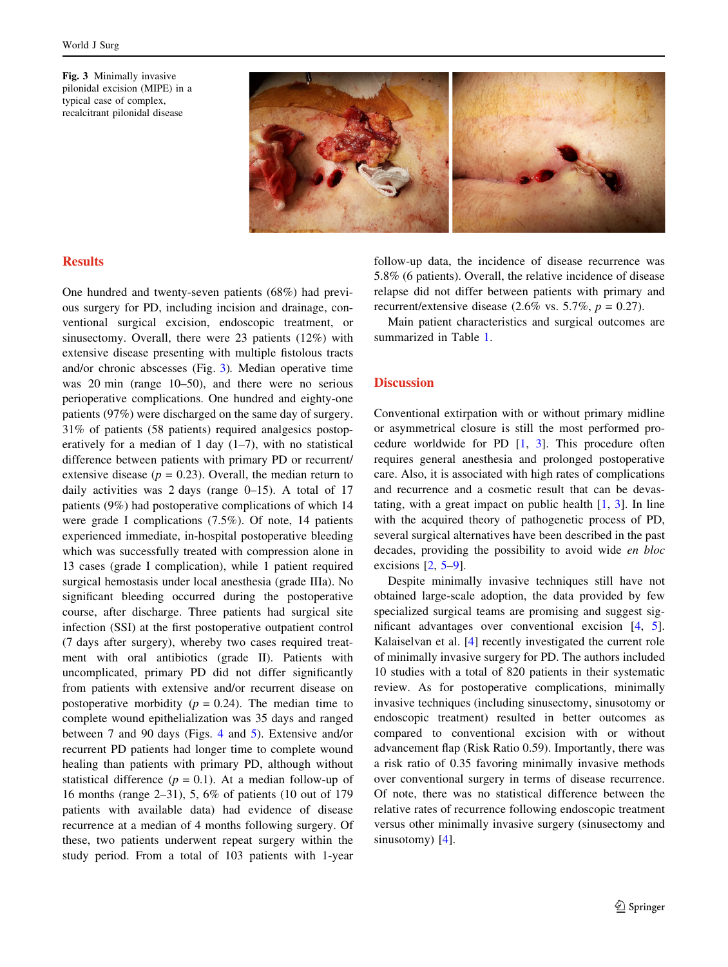<span id="page-2-0"></span>Fig. 3 Minimally invasive pilonidal excision (MIPE) in a typical case of complex, recalcitrant pilonidal disease



## **Results**

One hundred and twenty-seven patients (68%) had previous surgery for PD, including incision and drainage, conventional surgical excision, endoscopic treatment, or sinusectomy. Overall, there were 23 patients (12%) with extensive disease presenting with multiple fistolous tracts and/or chronic abscesses (Fig. 3). Median operative time was 20 min (range 10–50), and there were no serious perioperative complications. One hundred and eighty-one patients (97%) were discharged on the same day of surgery. 31% of patients (58 patients) required analgesics postoperatively for a median of 1 day  $(1-7)$ , with no statistical difference between patients with primary PD or recurrent/ extensive disease ( $p = 0.23$ ). Overall, the median return to daily activities was 2 days (range 0–15). A total of 17 patients (9%) had postoperative complications of which 14 were grade I complications (7.5%). Of note, 14 patients experienced immediate, in-hospital postoperative bleeding which was successfully treated with compression alone in 13 cases (grade I complication), while 1 patient required surgical hemostasis under local anesthesia (grade IIIa). No significant bleeding occurred during the postoperative course, after discharge. Three patients had surgical site infection (SSI) at the first postoperative outpatient control (7 days after surgery), whereby two cases required treatment with oral antibiotics (grade II). Patients with uncomplicated, primary PD did not differ significantly from patients with extensive and/or recurrent disease on postoperative morbidity ( $p = 0.24$ ). The median time to complete wound epithelialization was 35 days and ranged between 7 and 90 days (Figs. [4](#page-3-0) and [5](#page-3-0)). Extensive and/or recurrent PD patients had longer time to complete wound healing than patients with primary PD, although without statistical difference  $(p = 0.1)$ . At a median follow-up of 16 months (range 2–31), 5, 6% of patients (10 out of 179 patients with available data) had evidence of disease recurrence at a median of 4 months following surgery. Of these, two patients underwent repeat surgery within the study period. From a total of 103 patients with 1-year follow-up data, the incidence of disease recurrence was 5.8% (6 patients). Overall, the relative incidence of disease relapse did not differ between patients with primary and recurrent/extensive disease (2.6% vs. 5.7%,  $p = 0.27$ ).

Main patient characteristics and surgical outcomes are summarized in Table [1.](#page-3-0)

#### **Discussion**

Conventional extirpation with or without primary midline or asymmetrical closure is still the most performed procedure worldwide for PD [\[1](#page-4-0), [3](#page-4-0)]. This procedure often requires general anesthesia and prolonged postoperative care. Also, it is associated with high rates of complications and recurrence and a cosmetic result that can be devastating, with a great impact on public health  $[1, 3]$  $[1, 3]$  $[1, 3]$  $[1, 3]$ . In line with the acquired theory of pathogenetic process of PD, several surgical alternatives have been described in the past decades, providing the possibility to avoid wide en bloc excisions [[2](#page-4-0), [5–9\]](#page-4-0).

Despite minimally invasive techniques still have not obtained large-scale adoption, the data provided by few specialized surgical teams are promising and suggest significant advantages over conventional excision [\[4](#page-4-0), [5](#page-4-0)]. Kalaiselvan et al. [\[4](#page-4-0)] recently investigated the current role of minimally invasive surgery for PD. The authors included 10 studies with a total of 820 patients in their systematic review. As for postoperative complications, minimally invasive techniques (including sinusectomy, sinusotomy or endoscopic treatment) resulted in better outcomes as compared to conventional excision with or without advancement flap (Risk Ratio 0.59). Importantly, there was a risk ratio of 0.35 favoring minimally invasive methods over conventional surgery in terms of disease recurrence. Of note, there was no statistical difference between the relative rates of recurrence following endoscopic treatment versus other minimally invasive surgery (sinusectomy and sinusotomy) [\[4](#page-4-0)].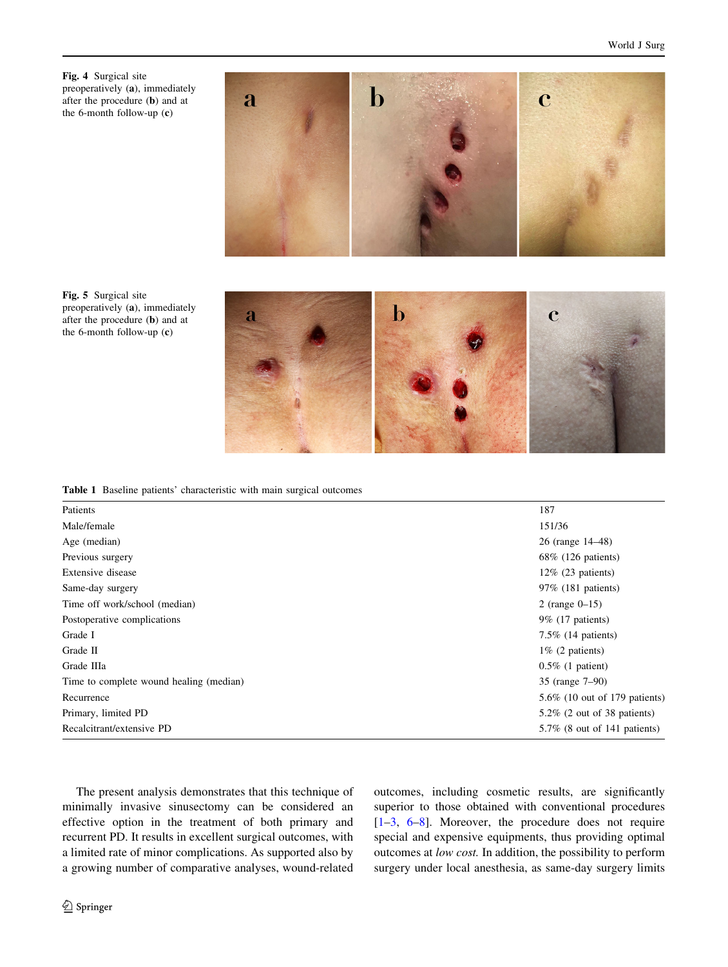<span id="page-3-0"></span>



Fig. 5 Surgical site preoperatively (a), immediately after the procedure (b) and at the 6-month follow-up (c)

Table 1 Baseline patients' characteristic with main surgical outcomes

| Patients                                | 187                             |
|-----------------------------------------|---------------------------------|
| Male/female                             | 151/36                          |
| Age (median)                            | 26 (range 14–48)                |
| Previous surgery                        | $68\%$ (126 patients)           |
| Extensive disease                       | $12\%$ (23 patients)            |
| Same-day surgery                        | 97% (181 patients)              |
| Time off work/school (median)           | 2 (range $0 - 15$ )             |
| Postoperative complications             | $9\%$ (17 patients)             |
| Grade I                                 | $7.5\%$ (14 patients)           |
| Grade II                                | $1\%$ (2 patients)              |
| Grade IIIa                              | $0.5\%$ (1 patient)             |
| Time to complete wound healing (median) | 35 (range 7–90)                 |
| Recurrence                              | 5.6\% (10 out of 179 patients)  |
| Primary, limited PD                     | $5.2\%$ (2 out of 38 patients)  |
| Recalcitrant/extensive PD               | $5.7\%$ (8 out of 141 patients) |

The present analysis demonstrates that this technique of minimally invasive sinusectomy can be considered an effective option in the treatment of both primary and recurrent PD. It results in excellent surgical outcomes, with a limited rate of minor complications. As supported also by a growing number of comparative analyses, wound-related outcomes, including cosmetic results, are significantly superior to those obtained with conventional procedures [\[1–3](#page-4-0), [6–8](#page-4-0)]. Moreover, the procedure does not require special and expensive equipments, thus providing optimal outcomes at low cost. In addition, the possibility to perform surgery under local anesthesia, as same-day surgery limits